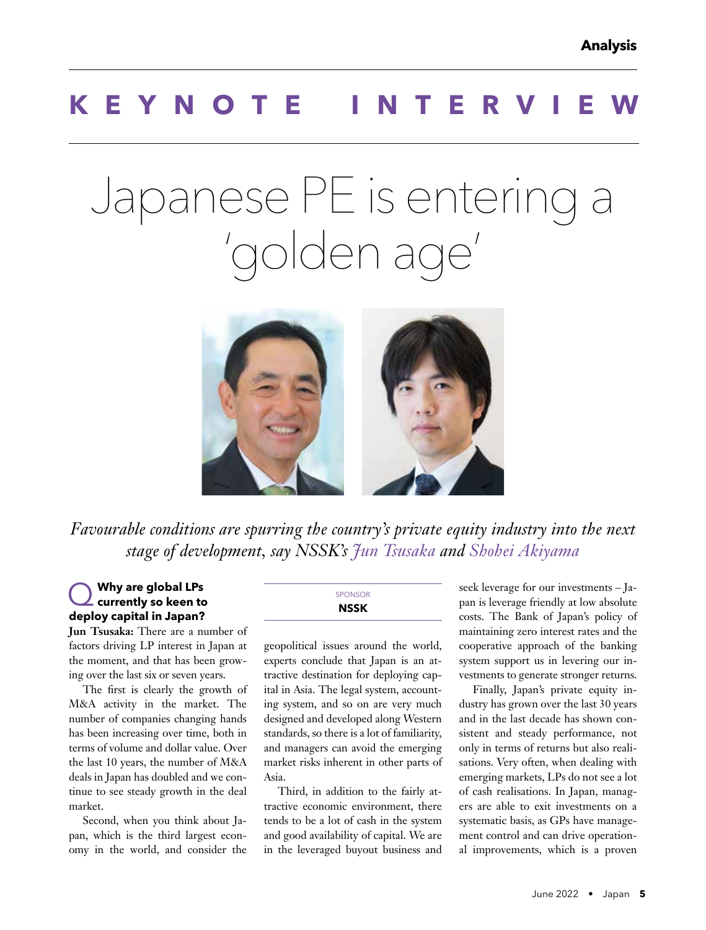# **KEYNOTE INTERV**

# Japanese PE is entering a 'golden age'



*Favourable conditions are spurring the country's private equity industry into the next stage of development, say NSSK's Jun Tsusaka and Shohei Akiyama*

# Q **Why are global LPs currently so keen to deploy capital in Japan?**

**Jun Tsusaka:** There are a number of factors driving LP interest in Japan at the moment, and that has been growing over the last six or seven years.

The first is clearly the growth of M&A activity in the market. The number of companies changing hands has been increasing over time, both in terms of volume and dollar value. Over the last 10 years, the number of M&A deals in Japan has doubled and we continue to see steady growth in the deal market.

Second, when you think about Japan, which is the third largest economy in the world, and consider the

#### **SPONSOR NSSK**

geopolitical issues around the world, experts conclude that Japan is an attractive destination for deploying capital in Asia. The legal system, accounting system, and so on are very much designed and developed along Western standards, so there is a lot of familiarity, and managers can avoid the emerging market risks inherent in other parts of Asia.

Third, in addition to the fairly attractive economic environment, there tends to be a lot of cash in the system and good availability of capital. We are in the leveraged buyout business and seek leverage for our investments – Japan is leverage friendly at low absolute costs. The Bank of Japan's policy of maintaining zero interest rates and the cooperative approach of the banking system support us in levering our investments to generate stronger returns.

Finally, Japan's private equity industry has grown over the last 30 years and in the last decade has shown consistent and steady performance, not only in terms of returns but also realisations. Very often, when dealing with emerging markets, LPs do not see a lot of cash realisations. In Japan, managers are able to exit investments on a systematic basis, as GPs have management control and can drive operational improvements, which is a proven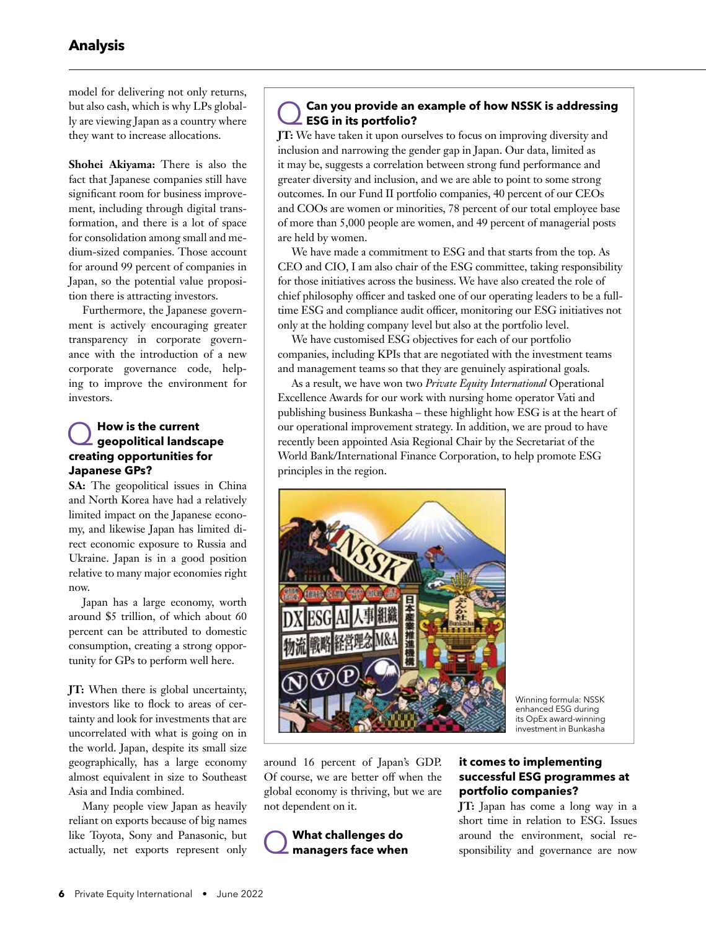model for delivering not only returns, but also cash, which is why LPs globally are viewing Japan as a country where they want to increase allocations.

**Shohei Akiyama:** There is also the fact that Japanese companies still have significant room for business improvement, including through digital transformation, and there is a lot of space for consolidation among small and medium-sized companies. Those account for around 99 percent of companies in Japan, so the potential value proposition there is attracting investors.

Furthermore, the Japanese government is actively encouraging greater transparency in corporate governance with the introduction of a new corporate governance code, helping to improve the environment for investors.

### Q**How is the current geopolitical landscape creating opportunities for Japanese GPs?**

**SA:** The geopolitical issues in China and North Korea have had a relatively limited impact on the Japanese economy, and likewise Japan has limited direct economic exposure to Russia and Ukraine. Japan is in a good position relative to many major economies right now.

Japan has a large economy, worth around \$5 trillion, of which about 60 percent can be attributed to domestic consumption, creating a strong opportunity for GPs to perform well here.

**JT:** When there is global uncertainty, investors like to flock to areas of certainty and look for investments that are uncorrelated with what is going on in the world. Japan, despite its small size geographically, has a large economy almost equivalent in size to Southeast Asia and India combined.

Many people view Japan as heavily reliant on exports because of big names like Toyota, Sony and Panasonic, but actually, net exports represent only

#### Q**Can you provide an example of how NSSK is addressing ESG in its portfolio?**

**JT:** We have taken it upon ourselves to focus on improving diversity and inclusion and narrowing the gender gap in Japan. Our data, limited as it may be, suggests a correlation between strong fund performance and greater diversity and inclusion, and we are able to point to some strong outcomes. In our Fund II portfolio companies, 40 percent of our CEOs and COOs are women or minorities, 78 percent of our total employee base of more than 5,000 people are women, and 49 percent of managerial posts are held by women.

We have made a commitment to ESG and that starts from the top. As CEO and CIO, I am also chair of the ESG committee, taking responsibility for those initiatives across the business. We have also created the role of chief philosophy officer and tasked one of our operating leaders to be a fulltime ESG and compliance audit officer, monitoring our ESG initiatives not only at the holding company level but also at the portfolio level.

We have customised ESG objectives for each of our portfolio companies, including KPIs that are negotiated with the investment teams and management teams so that they are genuinely aspirational goals.

As a result, we have won two *Private Equity International* Operational Excellence Awards for our work with nursing home operator Vati and publishing business Bunkasha – these highlight how ESG is at the heart of our operational improvement strategy. In addition, we are proud to have recently been appointed Asia Regional Chair by the Secretariat of the World Bank/International Finance Corporation, to help promote ESG principles in the region.



Winning formula: NSSK enhanced ESG during its OpEx award-winning investment in Bunkasha

around 16 percent of Japan's GDP. Of course, we are better off when the global economy is thriving, but we are not dependent on it.



#### **it comes to implementing successful ESG programmes at portfolio companies?**

**JT:** Japan has come a long way in a short time in relation to ESG. Issues around the environment, social responsibility and governance are now